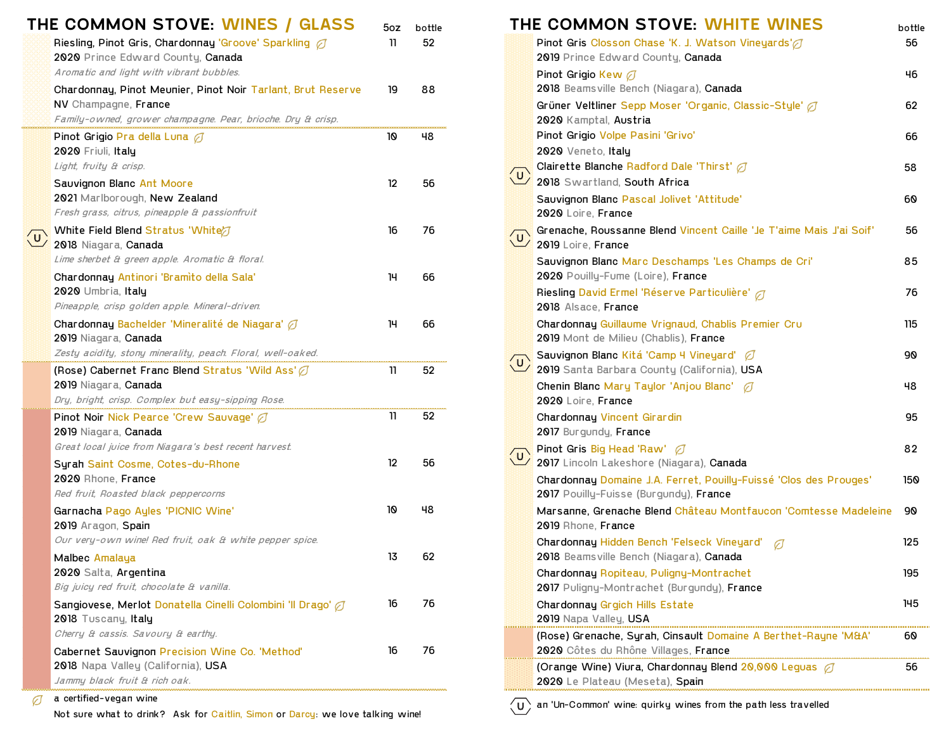| THE COMMON STOVE: WINES / GLASS<br>Riesling, Pinot Gris, Chardonnay 'Groove' Sparkling @<br>2020 Prince Edward County, Canada<br>Aromatic and light with vibrant bubbles. | 5oz<br>11 | bottle<br>52 |
|---------------------------------------------------------------------------------------------------------------------------------------------------------------------------|-----------|--------------|
| Chardonnay, Pinot Meunier, Pinot Noir Tarlant, Brut Reserve<br>NV Champagne, France<br>Family-owned, grower champagne. Pear, brioche. Dry & crisp.                        | 19        | 88           |
| Pinot Grigio Pra della Luna $\varnothing$<br>2020 Friuli, Italy<br>Light, fruity & crisp.                                                                                 | 10        | 48           |
| Sauvignon Blanc Ant Moore<br>2021 Marlborough, New Zealand<br>Fresh grass, citrus, pineapple & passionfruit                                                               | 12        | 56           |
| White Field Blend Stratus 'White'<br>2018 Niagara, Canada<br>Lime sherbet & green apple. Aromatic & floral.                                                               | 16        | 76           |
| Chardonnay Antinori 'Bramito della Sala'<br>2020 Umbria, Italy                                                                                                            | 14        | 66           |
| Pineapple, crisp golden apple. Mineral-driven.<br>Chardonnay Bachelder 'Mineralité de Niagara' $\varnothing$<br>2019 Niagara, <b>Canada</b>                               | 14        | 66           |
| Zesty acidity, stony minerality, peach. Floral, well-oaked.                                                                                                               |           |              |
| (Rose) Cabernet Franc Blend Stratus 'Wild Ass' $\varnothing$<br>2019 Niagara, Canada                                                                                      | 11        | 52           |
| Dry, bright, crisp. Complex but easy-sipping Rose.<br>Pinot Noir Nick Pearce 'Crew Sauvage' Ø                                                                             | 11        | 52           |
| 2019 Niagara, Canada                                                                                                                                                      |           |              |
| Great local juice from Niagara's best recent harvest.                                                                                                                     | 12        | 56           |
| Syrah Saint Cosme, Cotes-du-Rhone<br>2020 Rhone, <b>France</b><br>Red fruit, Roasted black peppercorns                                                                    |           |              |
| Garnacha Pago Ayles 'PICNIC Wine'<br>2019 Aragon, Spain                                                                                                                   | 10        | 48           |
| Our very-own wine! Red fruit, oak & white pepper spice.<br>Malbec Amalaya<br>2020 Salta, Argentina                                                                        | 13        | 62           |
| Big juicy red fruit, chocolate & vanilla.                                                                                                                                 |           |              |
| Sangiovese, Merlot Donatella Cinelli Colombini 'Il Drago' a<br>2018 Tuscany, Italy                                                                                        | 16        | 76           |
| Cherry & cassis. Savoury & earthy.                                                                                                                                        |           |              |
| Cabernet Sauvignon Precision Wine Co. 'Method'<br>2018 Napa Valley (California), USA                                                                                      | 16        | 76           |
| Jammy black fruit & rich oak.                                                                                                                                             |           |              |

**THE COMMON STOVE: WHITE WINES** bottle Pinot Gris Closson Chase 'K. J. Watson Vineyards' 11 1 1 56 2019 Prince Edward County, Canada  $\blacksquare$ Pinot Grigio Kew  $\oslash$ 2018 Beams ville Bench (Niagara), Canada Grüner Veltliner Sepp Moser 'Organic, Classic-Style' (2008) 62 2020 Kamptal, Austria Pinot Grigio Pra della Luna 10 48 Pinot Grigio Volpe Pasini 'Grivo' 66 2020 Veneto, Italy Clairette Blanche Radford Dale 'Thirst'  $\varnothing$  68 2018 Swartland, South Africa 2021 Marlborough, New Zealand Sauvignon Blanc Pascal Jolivet 'Attitude' 60 2020 Loire, France Grenache, Roussanne Blend Vincent Caille 'Je T'aime Mais J'ai Soif' 56 2019 Loire, France Sauvignon Blanc Marc Deschamps 'Les Champs de Cri' 35 2020 Pouilly-Fume (Loire), France Riesling David Ermel 'Réserve Particulière' 76 2018 Alsace, France. Chardonnay Guillaume Vrignaud, Chablis Premier Cru 115 2019 Mont de Milieu (Chablis), France Sauvignon Blanc Kitá 'Camp 4 Vineyard'  $\varnothing$  and the same same same set of 90 2019 Santa Barbara County (California), USA **2019 Niagara, Chenin Blanc Mary Taylor 'Anjou Blanc' ⊘** 2020 Loire, France **Chardonnay Vincent Girardin 11 52 Chardonnay Vincent Girardin** 95 2017 Burgundy, France  $\sqrt{2}$  Pinot Gris <mark>Big Head 'Raw' 82</mark>  $\overline{\phantom{a}}$  2017 Lincoln Lakeshore (Niagara), **Canada** Chardonnay Domaine J.A. Ferret, Pouilly-Fuissé 'Clos des Prouges' 150 2017 Pouilly-Fuisse (Burgundy), France Marsanne, Grenache Blend Château Montfaucon 'Comtesse Madeleine 90 2019 Rhone, France Chardonnay Hidden Bench 'Felseck Vineyard' 7 2018 Beamsville Bench (Niagara), Canada Chardonnay Ropiteau, Puligny-Montrachet 195 2017 Puligny-Montrachet (Burgundy), France Chardonnay Grgich Hills Estate 16 20 Chardonnay Grgich Hills Estate 16 26 Chardonnay 145 2019 Napa Valley, USA (Rose) Grenache, Syrah, Cinsault Domaine A Berthet-Rayne 'M&A' 60 2020 Côtes du Rhône Villages, France (Orange Wine) Viura, Chardonnay Blend 20,000 Leguas ○ 56 2020 Le Plateau (Meseta), Spain

′บ` an 'Un-Common' wine: quirky wines from the path less travelled

a certified-vegan wine

Not sure what to drink? Ask for Caitlin, Simon or Darcy: we love talking wine!